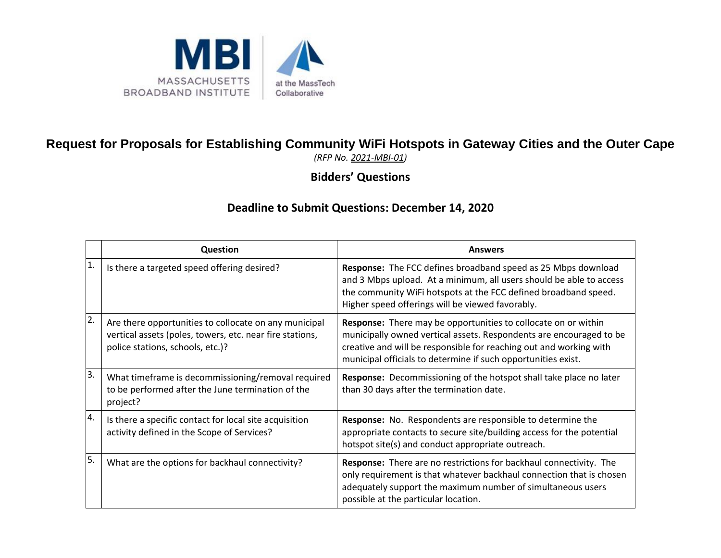

## **Request for Proposals for Establishing Community WiFi Hotspots in Gateway Cities and the Outer Cape**

*(RFP No. 2021-MBI-01)*

**Bidders' Questions**

## **Deadline to Submit Questions: December 14, 2020**

|    | <b>Question</b>                                                                                                                                       | <b>Answers</b>                                                                                                                                                                                                                                                                      |
|----|-------------------------------------------------------------------------------------------------------------------------------------------------------|-------------------------------------------------------------------------------------------------------------------------------------------------------------------------------------------------------------------------------------------------------------------------------------|
| 1. | Is there a targeted speed offering desired?                                                                                                           | Response: The FCC defines broadband speed as 25 Mbps download<br>and 3 Mbps upload. At a minimum, all users should be able to access<br>the community WiFi hotspots at the FCC defined broadband speed.<br>Higher speed offerings will be viewed favorably.                         |
| 2. | Are there opportunities to collocate on any municipal<br>vertical assets (poles, towers, etc. near fire stations,<br>police stations, schools, etc.)? | <b>Response:</b> There may be opportunities to collocate on or within<br>municipally owned vertical assets. Respondents are encouraged to be<br>creative and will be responsible for reaching out and working with<br>municipal officials to determine if such opportunities exist. |
| 3. | What timeframe is decommissioning/removal required<br>to be performed after the June termination of the<br>project?                                   | Response: Decommissioning of the hotspot shall take place no later<br>than 30 days after the termination date.                                                                                                                                                                      |
| 4. | Is there a specific contact for local site acquisition<br>activity defined in the Scope of Services?                                                  | <b>Response:</b> No. Respondents are responsible to determine the<br>appropriate contacts to secure site/building access for the potential<br>hotspot site(s) and conduct appropriate outreach.                                                                                     |
| 5. | What are the options for backhaul connectivity?                                                                                                       | Response: There are no restrictions for backhaul connectivity. The<br>only requirement is that whatever backhaul connection that is chosen<br>adequately support the maximum number of simultaneous users<br>possible at the particular location.                                   |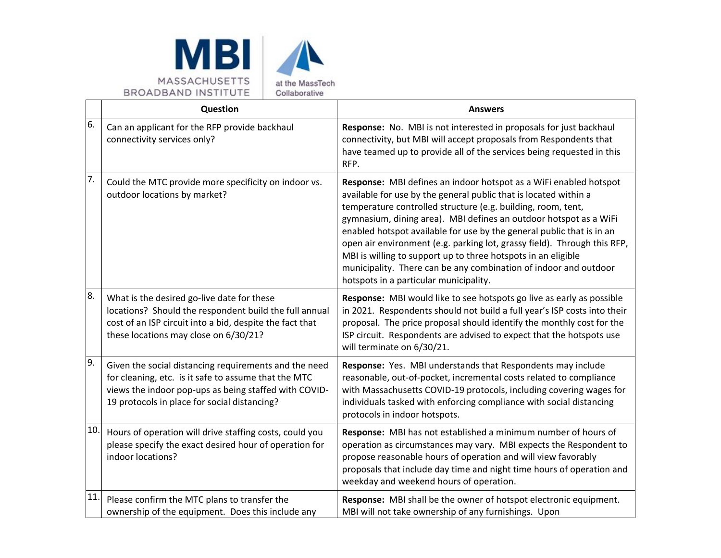



|     | Question                                                                                                                                                                                                               | <b>Answers</b>                                                                                                                                                                                                                                                                                                                                                                                                                                                                                                                                                                                                 |
|-----|------------------------------------------------------------------------------------------------------------------------------------------------------------------------------------------------------------------------|----------------------------------------------------------------------------------------------------------------------------------------------------------------------------------------------------------------------------------------------------------------------------------------------------------------------------------------------------------------------------------------------------------------------------------------------------------------------------------------------------------------------------------------------------------------------------------------------------------------|
| 6.  | Can an applicant for the RFP provide backhaul<br>connectivity services only?                                                                                                                                           | Response: No. MBI is not interested in proposals for just backhaul<br>connectivity, but MBI will accept proposals from Respondents that<br>have teamed up to provide all of the services being requested in this<br>RFP.                                                                                                                                                                                                                                                                                                                                                                                       |
| 7.  | Could the MTC provide more specificity on indoor vs.<br>outdoor locations by market?                                                                                                                                   | Response: MBI defines an indoor hotspot as a WiFi enabled hotspot<br>available for use by the general public that is located within a<br>temperature controlled structure (e.g. building, room, tent,<br>gymnasium, dining area). MBI defines an outdoor hotspot as a WiFi<br>enabled hotspot available for use by the general public that is in an<br>open air environment (e.g. parking lot, grassy field). Through this RFP,<br>MBI is willing to support up to three hotspots in an eligible<br>municipality. There can be any combination of indoor and outdoor<br>hotspots in a particular municipality. |
| 8.  | What is the desired go-live date for these<br>locations? Should the respondent build the full annual<br>cost of an ISP circuit into a bid, despite the fact that<br>these locations may close on 6/30/21?              | Response: MBI would like to see hotspots go live as early as possible<br>in 2021. Respondents should not build a full year's ISP costs into their<br>proposal. The price proposal should identify the monthly cost for the<br>ISP circuit. Respondents are advised to expect that the hotspots use<br>will terminate on 6/30/21.                                                                                                                                                                                                                                                                               |
| 9.  | Given the social distancing requirements and the need<br>for cleaning, etc. is it safe to assume that the MTC<br>views the indoor pop-ups as being staffed with COVID-<br>19 protocols in place for social distancing? | Response: Yes. MBI understands that Respondents may include<br>reasonable, out-of-pocket, incremental costs related to compliance<br>with Massachusetts COVID-19 protocols, including covering wages for<br>individuals tasked with enforcing compliance with social distancing<br>protocols in indoor hotspots.                                                                                                                                                                                                                                                                                               |
| 10. | Hours of operation will drive staffing costs, could you<br>please specify the exact desired hour of operation for<br>indoor locations?                                                                                 | Response: MBI has not established a minimum number of hours of<br>operation as circumstances may vary. MBI expects the Respondent to<br>propose reasonable hours of operation and will view favorably<br>proposals that include day time and night time hours of operation and<br>weekday and weekend hours of operation.                                                                                                                                                                                                                                                                                      |
| 11. | Please confirm the MTC plans to transfer the<br>ownership of the equipment. Does this include any                                                                                                                      | Response: MBI shall be the owner of hotspot electronic equipment.<br>MBI will not take ownership of any furnishings. Upon                                                                                                                                                                                                                                                                                                                                                                                                                                                                                      |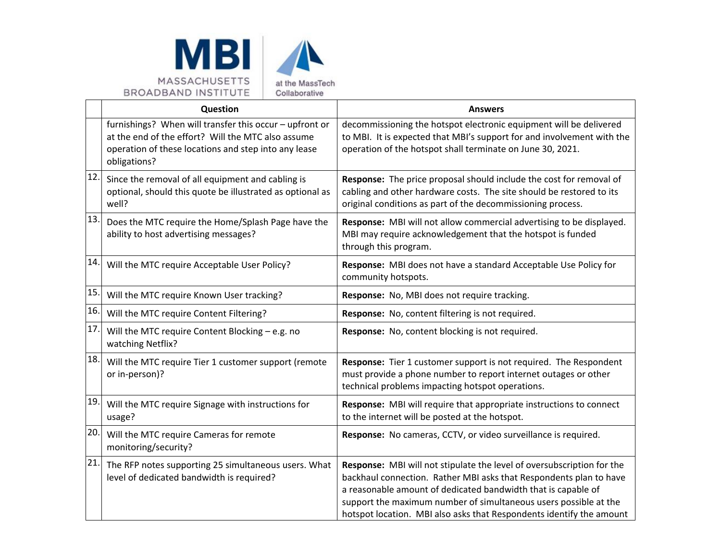



|     | Question                                                                                                                                                                              | <b>Answers</b>                                                                                                                                                                                                                                                                                                                                            |
|-----|---------------------------------------------------------------------------------------------------------------------------------------------------------------------------------------|-----------------------------------------------------------------------------------------------------------------------------------------------------------------------------------------------------------------------------------------------------------------------------------------------------------------------------------------------------------|
|     | furnishings? When will transfer this occur - upfront or<br>at the end of the effort? Will the MTC also assume<br>operation of these locations and step into any lease<br>obligations? | decommissioning the hotspot electronic equipment will be delivered<br>to MBI. It is expected that MBI's support for and involvement with the<br>operation of the hotspot shall terminate on June 30, 2021.                                                                                                                                                |
| 12. | Since the removal of all equipment and cabling is<br>optional, should this quote be illustrated as optional as<br>well?                                                               | Response: The price proposal should include the cost for removal of<br>cabling and other hardware costs. The site should be restored to its<br>original conditions as part of the decommissioning process.                                                                                                                                                |
| 13. | Does the MTC require the Home/Splash Page have the<br>ability to host advertising messages?                                                                                           | Response: MBI will not allow commercial advertising to be displayed.<br>MBI may require acknowledgement that the hotspot is funded<br>through this program.                                                                                                                                                                                               |
| 14. | Will the MTC require Acceptable User Policy?                                                                                                                                          | Response: MBI does not have a standard Acceptable Use Policy for<br>community hotspots.                                                                                                                                                                                                                                                                   |
| 15. | Will the MTC require Known User tracking?                                                                                                                                             | Response: No, MBI does not require tracking.                                                                                                                                                                                                                                                                                                              |
| 16. | Will the MTC require Content Filtering?                                                                                                                                               | Response: No, content filtering is not required.                                                                                                                                                                                                                                                                                                          |
| 17. | Will the MTC require Content Blocking - e.g. no<br>watching Netflix?                                                                                                                  | Response: No, content blocking is not required.                                                                                                                                                                                                                                                                                                           |
| 18. | Will the MTC require Tier 1 customer support (remote<br>or in-person)?                                                                                                                | Response: Tier 1 customer support is not required. The Respondent<br>must provide a phone number to report internet outages or other<br>technical problems impacting hotspot operations.                                                                                                                                                                  |
| 19. | Will the MTC require Signage with instructions for<br>usage?                                                                                                                          | Response: MBI will require that appropriate instructions to connect<br>to the internet will be posted at the hotspot.                                                                                                                                                                                                                                     |
| 20. | Will the MTC require Cameras for remote<br>monitoring/security?                                                                                                                       | Response: No cameras, CCTV, or video surveillance is required.                                                                                                                                                                                                                                                                                            |
| 21. | The RFP notes supporting 25 simultaneous users. What<br>level of dedicated bandwidth is required?                                                                                     | Response: MBI will not stipulate the level of oversubscription for the<br>backhaul connection. Rather MBI asks that Respondents plan to have<br>a reasonable amount of dedicated bandwidth that is capable of<br>support the maximum number of simultaneous users possible at the<br>hotspot location. MBI also asks that Respondents identify the amount |